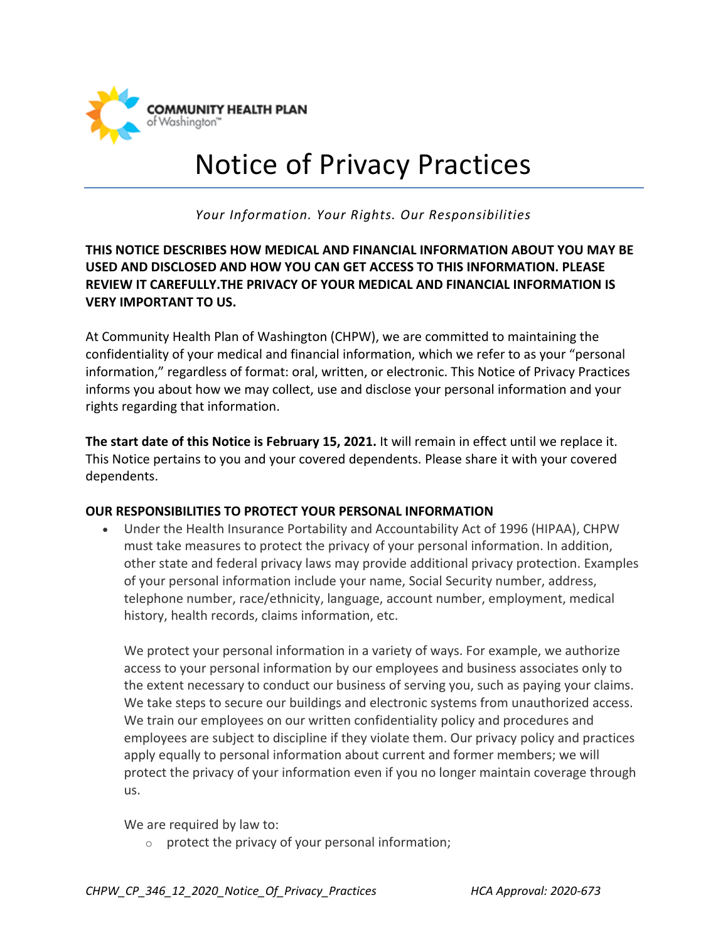

# Notice of Privacy Practices

*Your Information. Your Rights. Our Responsibilities*

## **THIS NOTICE DESCRIBES HOW MEDICAL AND FINANCIAL INFORMATION ABOUT YOU MAY BE USED AND DISCLOSED AND HOW YOU CAN GET ACCESS TO THIS INFORMATION. PLEASE REVIEW IT CAREFULLY.THE PRIVACY OF YOUR MEDICAL AND FINANCIAL INFORMATION IS VERY IMPORTANT TO US.**

At Community Health Plan of Washington (CHPW), we are committed to maintaining the confidentiality of your medical and financial information, which we refer to as your "personal information," regardless of format: oral, written, or electronic. This Notice of Privacy Practices informs you about how we may collect, use and disclose your personal information and your rights regarding that information.

**The start date of this Notice is February 15, 2021.** It will remain in effect until we replace it. This Notice pertains to you and your covered dependents. Please share it with your covered dependents.

#### **OUR RESPONSIBILITIES TO PROTECT YOUR PERSONAL INFORMATION**

• Under the Health Insurance Portability and Accountability Act of 1996 (HIPAA), CHPW must take measures to protect the privacy of your personal information. In addition, other state and federal privacy laws may provide additional privacy protection. Examples of your personal information include your name, Social Security number, address, telephone number, race/ethnicity, language, account number, employment, medical history, health records, claims information, etc.

We protect your personal information in a variety of ways. For example, we authorize access to your personal information by our employees and business associates only to the extent necessary to conduct our business of serving you, such as paying your claims. We take steps to secure our buildings and electronic systems from unauthorized access. We train our employees on our written confidentiality policy and procedures and employees are subject to discipline if they violate them. Our privacy policy and practices apply equally to personal information about current and former members; we will protect the privacy of your information even if you no longer maintain coverage through us.

We are required by law to:

 $\circ$  protect the privacy of your personal information;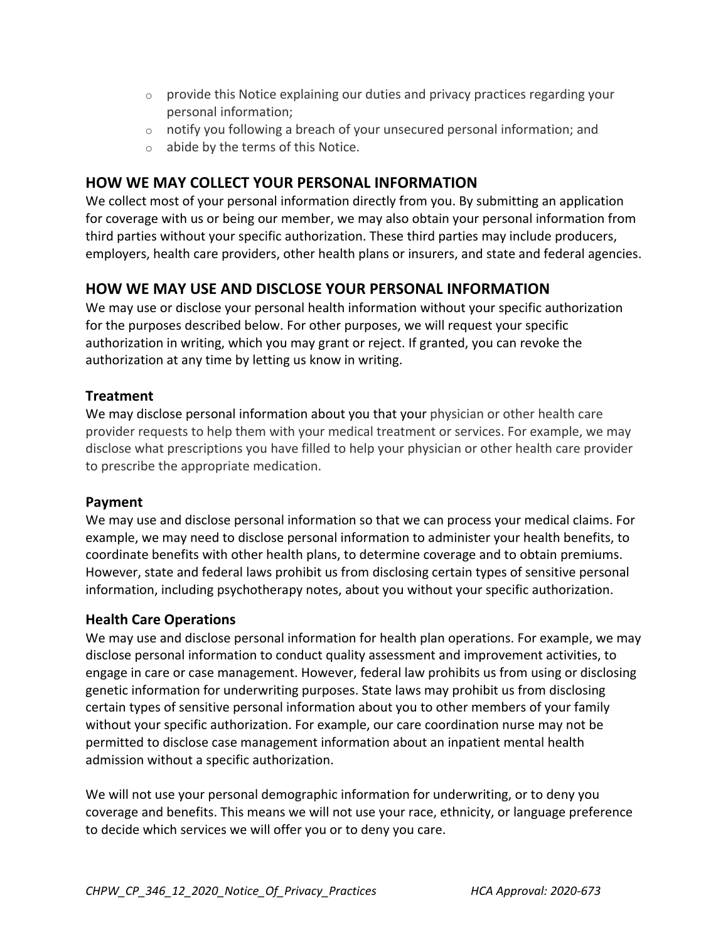- $\circ$  provide this Notice explaining our duties and privacy practices regarding your personal information;
- $\circ$  notify you following a breach of your unsecured personal information; and
- o abide by the terms of this Notice.

# **HOW WE MAY COLLECT YOUR PERSONAL INFORMATION**

We collect most of your personal information directly from you. By submitting an application for coverage with us or being our member, we may also obtain your personal information from third parties without your specific authorization. These third parties may include producers, employers, health care providers, other health plans or insurers, and state and federal agencies.

# **HOW WE MAY USE AND DISCLOSE YOUR PERSONAL INFORMATION**

We may use or disclose your personal health information without your specific authorization for the purposes described below. For other purposes, we will request your specific authorization in writing, which you may grant or reject. If granted, you can revoke the authorization at any time by letting us know in writing.

## **Treatment**

We may disclose personal information about you that your physician or other health care provider requests to help them with your medical treatment or services. For example, we may disclose what prescriptions you have filled to help your physician or other health care provider to prescribe the appropriate medication.

#### **Payment**

We may use and disclose personal information so that we can process your medical claims. For example, we may need to disclose personal information to administer your health benefits, to coordinate benefits with other health plans, to determine coverage and to obtain premiums. However, state and federal laws prohibit us from disclosing certain types of sensitive personal information, including psychotherapy notes, about you without your specific authorization.

# **Health Care Operations**

We may use and disclose personal information for health plan operations. For example, we may disclose personal information to conduct quality assessment and improvement activities, to engage in care or case management. However, federal law prohibits us from using or disclosing genetic information for underwriting purposes. State laws may prohibit us from disclosing certain types of sensitive personal information about you to other members of your family without your specific authorization. For example, our care coordination nurse may not be permitted to disclose case management information about an inpatient mental health admission without a specific authorization.

We will not use your personal demographic information for underwriting, or to deny you coverage and benefits. This means we will not use your race, ethnicity, or language preference to decide which services we will offer you or to deny you care.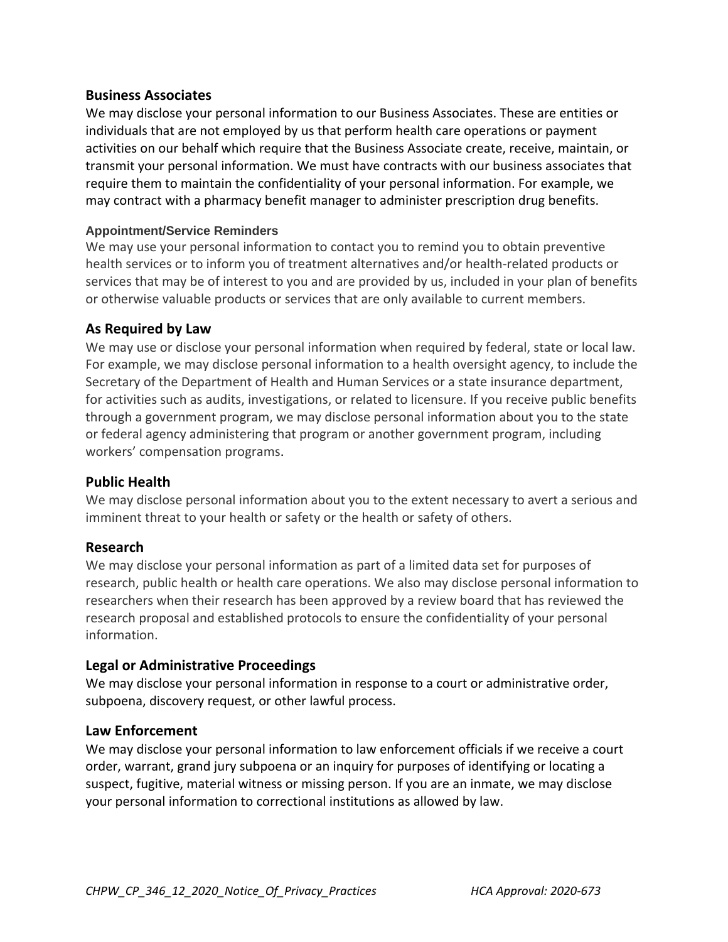#### **Business Associates**

We may disclose your personal information to our Business Associates. These are entities or individuals that are not employed by us that perform health care operations or payment activities on our behalf which require that the Business Associate create, receive, maintain, or transmit your personal information. We must have contracts with our business associates that require them to maintain the confidentiality of your personal information. For example, we may contract with a pharmacy benefit manager to administer prescription drug benefits.

#### **Appointment/Service Reminders**

We may use your personal information to contact you to remind you to obtain preventive health services or to inform you of treatment alternatives and/or health-related products or services that may be of interest to you and are provided by us, included in your plan of benefits or otherwise valuable products or services that are only available to current members.

#### **As Required by Law**

We may use or disclose your personal information when required by federal, state or local law. For example, we may disclose personal information to a health oversight agency, to include the Secretary of the Department of Health and Human Services or a state insurance department, for activities such as audits, investigations, or related to licensure. If you receive public benefits through a government program, we may disclose personal information about you to the state or federal agency administering that program or another government program, including workers' compensation programs.

#### **Public Health**

We may disclose personal information about you to the extent necessary to avert a serious and imminent threat to your health or safety or the health or safety of others.

#### **Research**

We may disclose your personal information as part of a limited data set for purposes of research, public health or health care operations. We also may disclose personal information to researchers when their research has been approved by a review board that has reviewed the research proposal and established protocols to ensure the confidentiality of your personal information.

#### **Legal or Administrative Proceedings**

We may disclose your personal information in response to a court or administrative order, subpoena, discovery request, or other lawful process.

#### **Law Enforcement**

We may disclose your personal information to law enforcement officials if we receive a court order, warrant, grand jury subpoena or an inquiry for purposes of identifying or locating a suspect, fugitive, material witness or missing person. If you are an inmate, we may disclose your personal information to correctional institutions as allowed by law.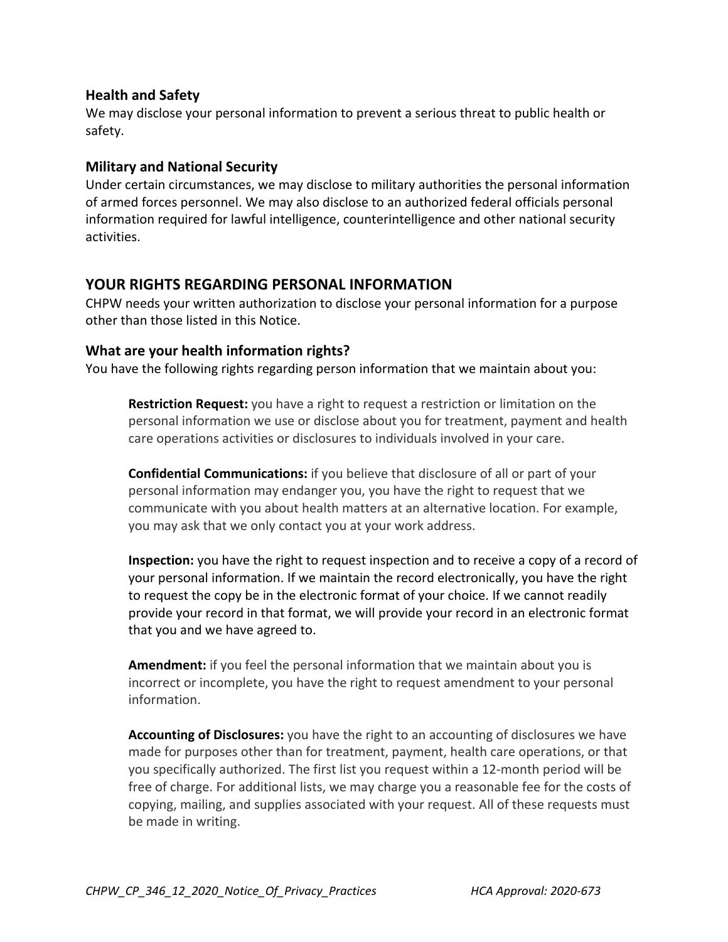#### **Health and Safety**

We may disclose your personal information to prevent a serious threat to public health or safety.

#### **Military and National Security**

Under certain circumstances, we may disclose to military authorities the personal information of armed forces personnel. We may also disclose to an authorized federal officials personal information required for lawful intelligence, counterintelligence and other national security activities.

## **YOUR RIGHTS REGARDING PERSONAL INFORMATION**

CHPW needs your written authorization to disclose your personal information for a purpose other than those listed in this Notice.

#### **What are your health information rights?**

You have the following rights regarding person information that we maintain about you:

**Restriction Request:** you have a right to request a restriction or limitation on the personal information we use or disclose about you for treatment, payment and health care operations activities or disclosures to individuals involved in your care.

**Confidential Communications:** if you believe that disclosure of all or part of your personal information may endanger you, you have the right to request that we communicate with you about health matters at an alternative location. For example, you may ask that we only contact you at your work address.

**Inspection:** you have the right to request inspection and to receive a copy of a record of your personal information. If we maintain the record electronically, you have the right to request the copy be in the electronic format of your choice. If we cannot readily provide your record in that format, we will provide your record in an electronic format that you and we have agreed to.

**Amendment:** if you feel the personal information that we maintain about you is incorrect or incomplete, you have the right to request amendment to your personal information.

**Accounting of Disclosures:** you have the right to an accounting of disclosures we have made for purposes other than for treatment, payment, health care operations, or that you specifically authorized. The first list you request within a 12-month period will be free of charge. For additional lists, we may charge you a reasonable fee for the costs of copying, mailing, and supplies associated with your request. All of these requests must be made in writing.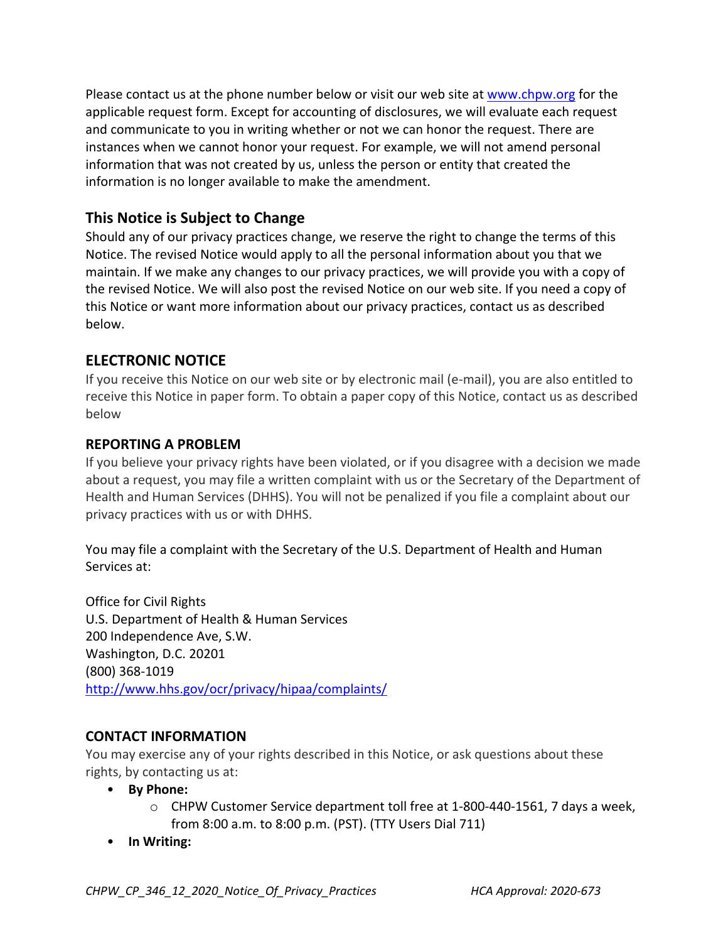Please contact us at the phone number below or visit our web site at [www.chpw.org](http://www.chpw.org/) for the applicable request form. Except for accounting of disclosures, we will evaluate each request and communicate to you in writing whether or not we can honor the request. There are instances when we cannot honor your request. For example, we will not amend personal information that was not created by us, unless the person or entity that created the information is no longer available to make the amendment.

# **This Notice is Subject to Change**

Should any of our privacy practices change, we reserve the right to change the terms of this Notice. The revised Notice would apply to all the personal information about you that we maintain. If we make any changes to our privacy practices, we will provide you with a copy of the revised Notice. We will also post the revised Notice on our web site. If you need a copy of this Notice or want more information about our privacy practices, contact us as described below.

# **ELECTRONIC NOTICE**

If you receive this Notice on our web site or by electronic mail (e-mail), you are also entitled to receive this Notice in paper form. To obtain a paper copy of this Notice, contact us as described below

#### **REPORTING A PROBLEM**

If you believe your privacy rights have been violated, or if you disagree with a decision we made about a request, you may file a written complaint with us or the Secretary of the Department of Health and Human Services (DHHS). You will not be penalized if you file a complaint about our privacy practices with us or with DHHS.

You may file a complaint with the Secretary of the U.S. Department of Health and Human Services at:

Office for Civil Rights U.S. Department of Health & Human Services 200 Independence Ave, S.W. Washington, D.C. 20201 (800) 368-1019 <http://www.hhs.gov/ocr/privacy/hipaa/complaints/>

# **CONTACT INFORMATION**

You may exercise any of your rights described in this Notice, or ask questions about these rights, by contacting us at:

- **By Phone:**
	- $\circ$  CHPW Customer Service department toll free at 1-800-440-1561, 7 days a week, from 8:00 a.m. to 8:00 p.m. (PST). (TTY Users Dial 711)
- **In Writing:**